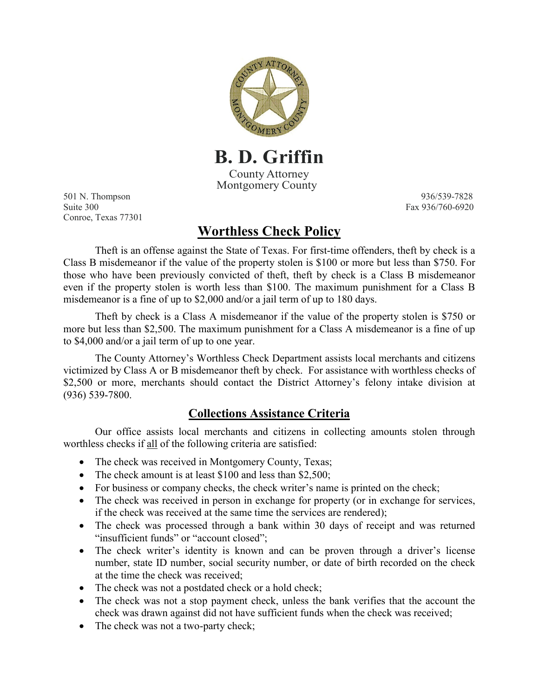

**B. D. Griffin** County Attorney Montgomery County

501 N. Thompson 936/539-7828 Suite 300 Fax 936/760-6920 Conroe, Texas 77301

## **Worthless Check Policy**

Theft is an offense against the State of Texas. For first-time offenders, theft by check is a Class B misdemeanor if the value of the property stolen is \$100 or more but less than \$750. For those who have been previously convicted of theft, theft by check is a Class B misdemeanor even if the property stolen is worth less than \$100. The maximum punishment for a Class B misdemeanor is a fine of up to \$2,000 and/or a jail term of up to 180 days.

Theft by check is a Class A misdemeanor if the value of the property stolen is \$750 or more but less than \$2,500. The maximum punishment for a Class A misdemeanor is a fine of up to \$4,000 and/or a jail term of up to one year.

The County Attorney's Worthless Check Department assists local merchants and citizens victimized by Class A or B misdemeanor theft by check. For assistance with worthless checks of \$2,500 or more, merchants should contact the District Attorney's felony intake division at (936) 539-7800.

## **Collections Assistance Criteria**

Our office assists local merchants and citizens in collecting amounts stolen through worthless checks if all of the following criteria are satisfied:

- The check was received in Montgomery County, Texas;
- The check amount is at least \$100 and less than \$2,500;
- For business or company checks, the check writer's name is printed on the check;
- The check was received in person in exchange for property (or in exchange for services, if the check was received at the same time the services are rendered);
- The check was processed through a bank within 30 days of receipt and was returned "insufficient funds" or "account closed";
- The check writer's identity is known and can be proven through a driver's license number, state ID number, social security number, or date of birth recorded on the check at the time the check was received;
- The check was not a postdated check or a hold check;
- The check was not a stop payment check, unless the bank verifies that the account the check was drawn against did not have sufficient funds when the check was received;
- The check was not a two-party check;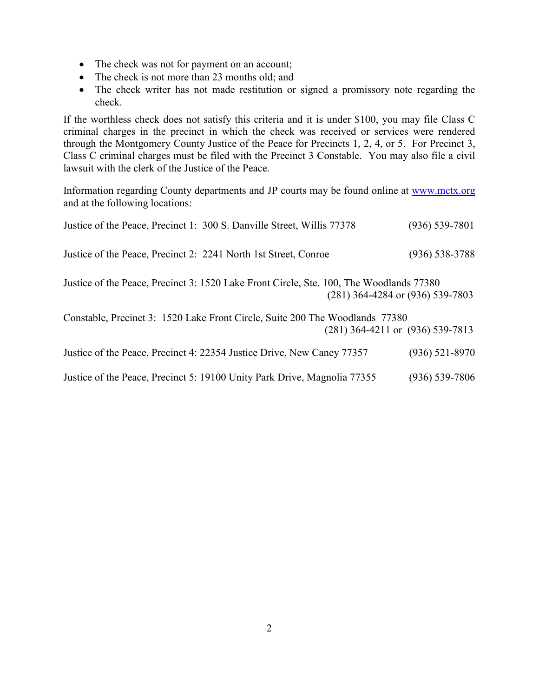- The check was not for payment on an account;
- The check is not more than 23 months old; and
- The check writer has not made restitution or signed a promissory note regarding the check.

If the worthless check does not satisfy this criteria and it is under \$100, you may file Class C criminal charges in the precinct in which the check was received or services were rendered through the Montgomery County Justice of the Peace for Precincts 1, 2, 4, or 5. For Precinct 3, Class C criminal charges must be filed with the Precinct 3 Constable. You may also file a civil lawsuit with the clerk of the Justice of the Peace.

Information regarding County departments and JP courts may be found online at [www.mctx.org](http://www.mctx.org/) and at the following locations:

| Justice of the Peace, Precinct 1: 300 S. Danville Street, Willis 77378                                                          | $(936) 539 - 7801$ |
|---------------------------------------------------------------------------------------------------------------------------------|--------------------|
| Justice of the Peace, Precinct 2: 2241 North 1st Street, Conroe                                                                 | $(936) 538 - 3788$ |
| Justice of the Peace, Precinct 3: 1520 Lake Front Circle, Ste. 100, The Woodlands 77380<br>$(281)$ 364-4284 or $(936)$ 539-7803 |                    |
| Constable, Precinct 3: 1520 Lake Front Circle, Suite 200 The Woodlands 77380<br>$(281)$ 364-4211 or $(936)$ 539-7813            |                    |
| Justice of the Peace, Precinct 4: 22354 Justice Drive, New Caney 77357                                                          | $(936)$ 521-8970   |
| Justice of the Peace, Precinct 5: 19100 Unity Park Drive, Magnolia 77355                                                        | $(936) 539 - 7806$ |